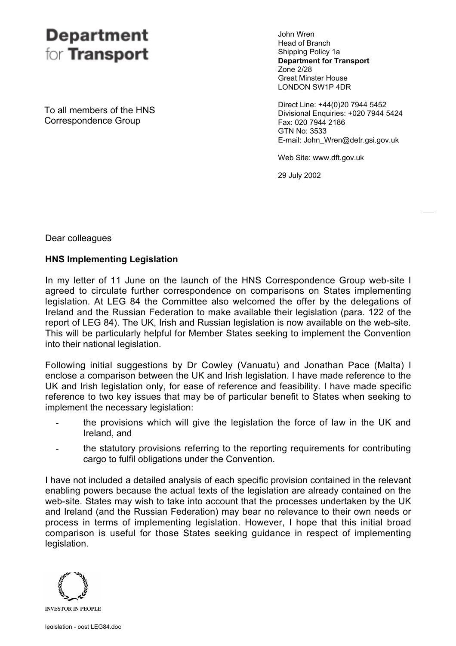# **Department** for **Transport**

John Wren Head of Branch Shipping Policy 1a **Department for Transport** Zone 2/28 Great Minster House LONDON SW1P 4DR

Direct Line: +44(0)20 7944 5452 Divisional Enquiries: +020 7944 5424 Fax: 020 7944 2186 GTN No: 3533 E-mail: John\_Wren@detr.gsi.gov.uk

Web Site: www.dft.gov.uk

29 July 2002

To all members of the HNS Correspondence Group

Dear colleagues

## **HNS Implementing Legislation**

In my letter of 11 June on the launch of the HNS Correspondence Group web-site I agreed to circulate further correspondence on comparisons on States implementing legislation. At LEG 84 the Committee also welcomed the offer by the delegations of Ireland and the Russian Federation to make available their legislation (para. 122 of the report of LEG 84). The UK, Irish and Russian legislation is now available on the web-site. This will be particularly helpful for Member States seeking to implement the Convention into their national legislation.

Following initial suggestions by Dr Cowley (Vanuatu) and Jonathan Pace (Malta) I enclose a comparison between the UK and Irish legislation. I have made reference to the UK and Irish legislation only, for ease of reference and feasibility. I have made specific reference to two key issues that may be of particular benefit to States when seeking to implement the necessary legislation:

- the provisions which will give the legislation the force of law in the UK and Ireland, and
- the statutory provisions referring to the reporting requirements for contributing cargo to fulfil obligations under the Convention.

I have not included a detailed analysis of each specific provision contained in the relevant enabling powers because the actual texts of the legislation are already contained on the web-site. States may wish to take into account that the processes undertaken by the UK and Ireland (and the Russian Federation) may bear no relevance to their own needs or process in terms of implementing legislation. However, I hope that this initial broad comparison is useful for those States seeking guidance in respect of implementing legislation.

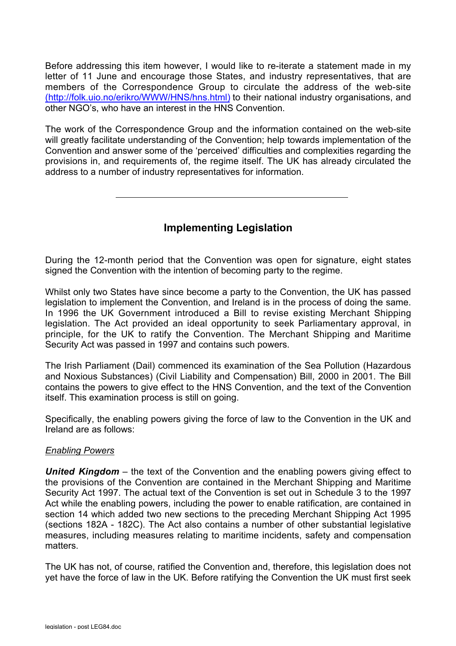Before addressing this item however, I would like to re-iterate a statement made in my letter of 11 June and encourage those States, and industry representatives, that are members of the Correspondence Group to circulate the address of the web-site (http://folk.uio.no/erikro/WWW/HNS/hns.html) to their national industry organisations, and other NGO's, who have an interest in the HNS Convention.

The work of the Correspondence Group and the information contained on the web-site will greatly facilitate understanding of the Convention; help towards implementation of the Convention and answer some of the 'perceived' difficulties and complexities regarding the provisions in, and requirements of, the regime itself. The UK has already circulated the address to a number of industry representatives for information.

# **Implementing Legislation**

During the 12-month period that the Convention was open for signature, eight states signed the Convention with the intention of becoming party to the regime.

Whilst only two States have since become a party to the Convention, the UK has passed legislation to implement the Convention, and Ireland is in the process of doing the same. In 1996 the UK Government introduced a Bill to revise existing Merchant Shipping legislation. The Act provided an ideal opportunity to seek Parliamentary approval, in principle, for the UK to ratify the Convention. The Merchant Shipping and Maritime Security Act was passed in 1997 and contains such powers.

The Irish Parliament (Dail) commenced its examination of the Sea Pollution (Hazardous and Noxious Substances) (Civil Liability and Compensation) Bill, 2000 in 2001. The Bill contains the powers to give effect to the HNS Convention, and the text of the Convention itself. This examination process is still on going.

Specifically, the enabling powers giving the force of law to the Convention in the UK and Ireland are as follows:

### *Enabling Powers*

*United Kingdom* – the text of the Convention and the enabling powers giving effect to the provisions of the Convention are contained in the Merchant Shipping and Maritime Security Act 1997. The actual text of the Convention is set out in Schedule 3 to the 1997 Act while the enabling powers, including the power to enable ratification, are contained in section 14 which added two new sections to the preceding Merchant Shipping Act 1995 (sections 182A - 182C). The Act also contains a number of other substantial legislative measures, including measures relating to maritime incidents, safety and compensation matters.

The UK has not, of course, ratified the Convention and, therefore, this legislation does not yet have the force of law in the UK. Before ratifying the Convention the UK must first seek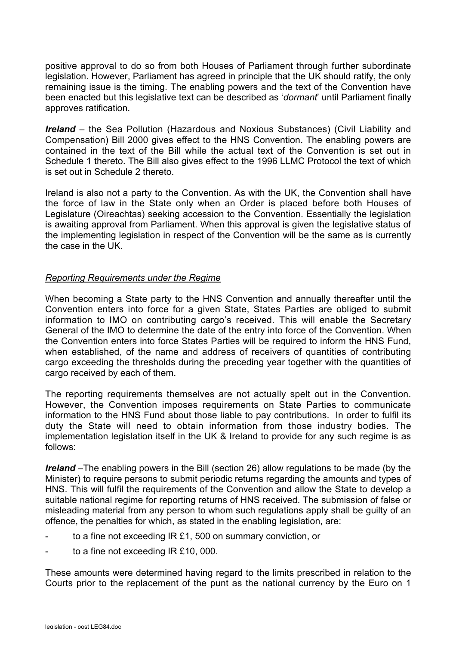positive approval to do so from both Houses of Parliament through further subordinate legislation. However, Parliament has agreed in principle that the UK should ratify, the only remaining issue is the timing. The enabling powers and the text of the Convention have been enacted but this legislative text can be described as '*dormant*' until Parliament finally approves ratification.

*Ireland* – the Sea Pollution (Hazardous and Noxious Substances) (Civil Liability and Compensation) Bill 2000 gives effect to the HNS Convention. The enabling powers are contained in the text of the Bill while the actual text of the Convention is set out in Schedule 1 thereto. The Bill also gives effect to the 1996 LLMC Protocol the text of which is set out in Schedule 2 thereto.

Ireland is also not a party to the Convention. As with the UK, the Convention shall have the force of law in the State only when an Order is placed before both Houses of Legislature (Oireachtas) seeking accession to the Convention. Essentially the legislation is awaiting approval from Parliament. When this approval is given the legislative status of the implementing legislation in respect of the Convention will be the same as is currently the case in the UK.

#### *Reporting Requirements under the Regime*

When becoming a State party to the HNS Convention and annually thereafter until the Convention enters into force for a given State, States Parties are obliged to submit information to IMO on contributing cargo's received. This will enable the Secretary General of the IMO to determine the date of the entry into force of the Convention. When the Convention enters into force States Parties will be required to inform the HNS Fund, when established, of the name and address of receivers of quantities of contributing cargo exceeding the thresholds during the preceding year together with the quantities of cargo received by each of them.

The reporting requirements themselves are not actually spelt out in the Convention. However, the Convention imposes requirements on State Parties to communicate information to the HNS Fund about those liable to pay contributions. In order to fulfil its duty the State will need to obtain information from those industry bodies. The implementation legislation itself in the UK & Ireland to provide for any such regime is as follows:

*Ireland* –The enabling powers in the Bill (section 26) allow regulations to be made (by the Minister) to require persons to submit periodic returns regarding the amounts and types of HNS. This will fulfil the requirements of the Convention and allow the State to develop a suitable national regime for reporting returns of HNS received. The submission of false or misleading material from any person to whom such regulations apply shall be guilty of an offence, the penalties for which, as stated in the enabling legislation, are:

- to a fine not exceeding IR £1, 500 on summary conviction, or
- to a fine not exceeding  $IR f10,000$ .

These amounts were determined having regard to the limits prescribed in relation to the Courts prior to the replacement of the punt as the national currency by the Euro on 1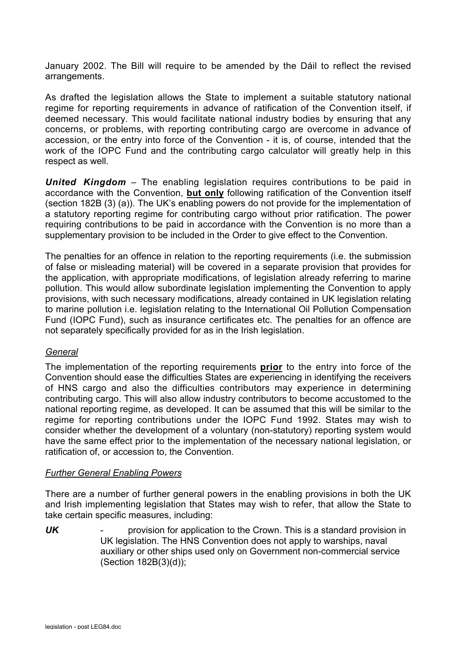January 2002. The Bill will require to be amended by the Dáil to reflect the revised arrangements.

As drafted the legislation allows the State to implement a suitable statutory national regime for reporting requirements in advance of ratification of the Convention itself, if deemed necessary. This would facilitate national industry bodies by ensuring that any concerns, or problems, with reporting contributing cargo are overcome in advance of accession, or the entry into force of the Convention - it is, of course, intended that the work of the IOPC Fund and the contributing cargo calculator will greatly help in this respect as well.

*United Kingdom* – The enabling legislation requires contributions to be paid in accordance with the Convention, **but only** following ratification of the Convention itself (section 182B (3) (a)). The UK's enabling powers do not provide for the implementation of a statutory reporting regime for contributing cargo without prior ratification. The power requiring contributions to be paid in accordance with the Convention is no more than a supplementary provision to be included in the Order to give effect to the Convention.

The penalties for an offence in relation to the reporting requirements (i.e. the submission of false or misleading material) will be covered in a separate provision that provides for the application, with appropriate modifications, of legislation already referring to marine pollution. This would allow subordinate legislation implementing the Convention to apply provisions, with such necessary modifications, already contained in UK legislation relating to marine pollution i.e. legislation relating to the International Oil Pollution Compensation Fund (IOPC Fund), such as insurance certificates etc. The penalties for an offence are not separately specifically provided for as in the Irish legislation.

#### *General*

The implementation of the reporting requirements **prior** to the entry into force of the Convention should ease the difficulties States are experiencing in identifying the receivers of HNS cargo and also the difficulties contributors may experience in determining contributing cargo. This will also allow industry contributors to become accustomed to the national reporting regime, as developed. It can be assumed that this will be similar to the regime for reporting contributions under the IOPC Fund 1992. States may wish to consider whether the development of a voluntary (non-statutory) reporting system would have the same effect prior to the implementation of the necessary national legislation, or ratification of, or accession to, the Convention.

#### *Further General Enabling Powers*

There are a number of further general powers in the enabling provisions in both the UK and Irish implementing legislation that States may wish to refer, that allow the State to take certain specific measures, including:

*UK* - provision for application to the Crown. This is a standard provision in UK legislation. The HNS Convention does not apply to warships, naval auxiliary or other ships used only on Government non-commercial service (Section 182B(3)(d));